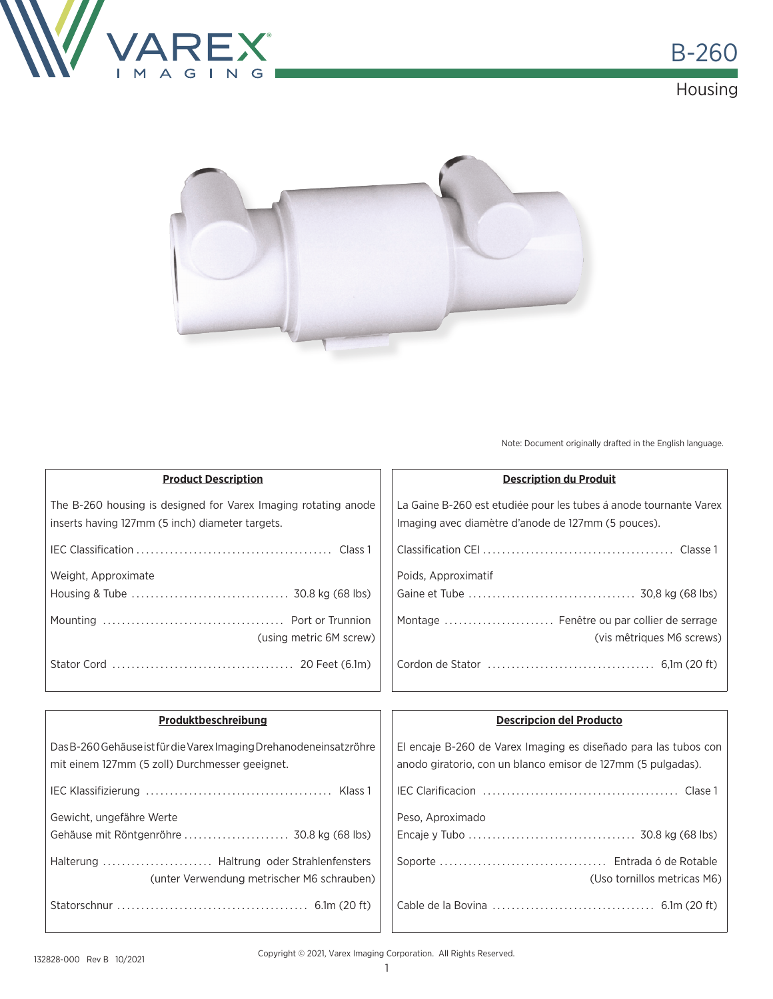



Note: Document originally drafted in the English language.

| <b>Product Description</b>                                     | <b>Description du Produit</b>                                     |
|----------------------------------------------------------------|-------------------------------------------------------------------|
| The B-260 housing is designed for Varex Imaging rotating anode | La Gaine B-260 est etudiée pour les tubes á anode tournante Varex |
| inserts having 127mm (5 inch) diameter targets.                | Imaging avec diamètre d'anode de 127mm (5 pouces).                |
|                                                                |                                                                   |
| Weight, Approximate                                            | Poids, Approximatif                                               |
|                                                                |                                                                   |
|                                                                | Montage  Fenêtre ou par collier de serrage                        |
| (using metric 6M screw)                                        | (vis mêtriques M6 screws)                                         |
|                                                                |                                                                   |

| Produktbeschreibung                                                                                                  | <b>Descripcion del Producto</b>                                                                                                 |  |
|----------------------------------------------------------------------------------------------------------------------|---------------------------------------------------------------------------------------------------------------------------------|--|
| Das B-260 Gehäuse ist für die Varex Imaging Drehanodeneinsatzröhre<br>mit einem 127mm (5 zoll) Durchmesser geeignet. | El encaje B-260 de Varex Imaging es diseñado para las tubos con<br>anodo giratorio, con un blanco emisor de 127mm (5 pulgadas). |  |
|                                                                                                                      |                                                                                                                                 |  |
| Gewicht, ungefähre Werte                                                                                             | Peso, Aproximado                                                                                                                |  |
| Gehäuse mit Röntgenröhre  30.8 kg (68 lbs)                                                                           |                                                                                                                                 |  |
| (unter Verwendung metrischer M6 schrauben)                                                                           | (Uso tornillos metricas M6)                                                                                                     |  |
|                                                                                                                      |                                                                                                                                 |  |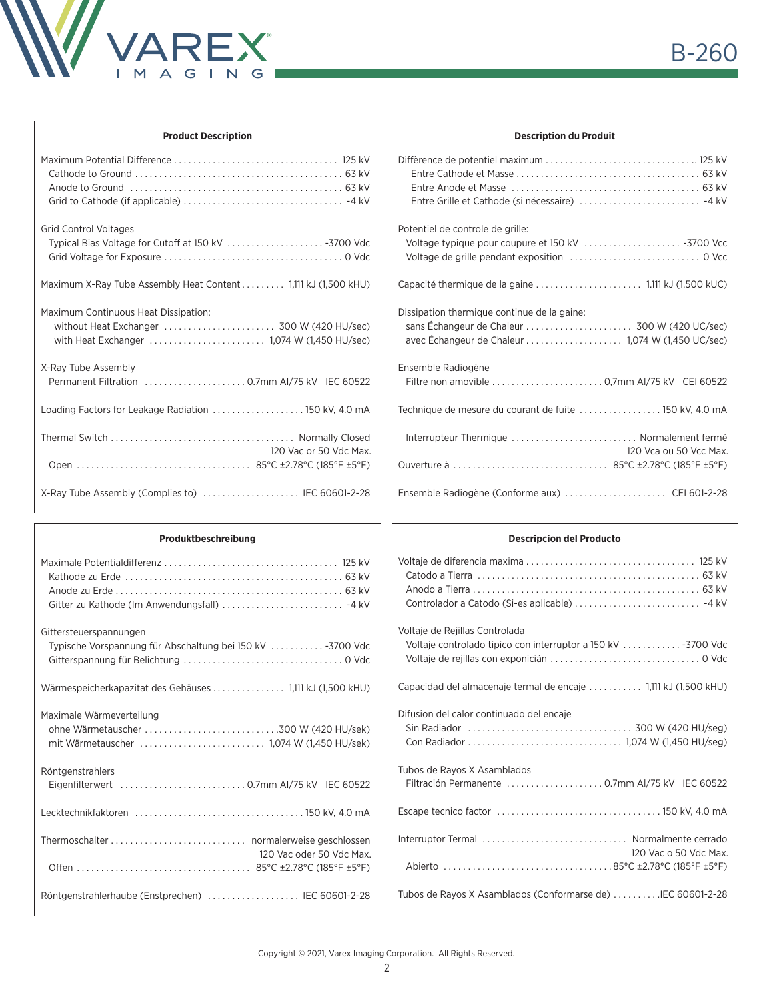

|  | <b>Product Description</b> |
|--|----------------------------|
|--|----------------------------|

| <b>Grid Control Voltages</b>                                  |
|---------------------------------------------------------------|
|                                                               |
| Maximum X-Ray Tube Assembly Heat Content 1,111 kJ (1,500 kHU) |
| Maximum Continuous Heat Dissipation:                          |
| without Heat Exchanger  300 W (420 HU/sec)                    |
| X-Ray Tube Assembly                                           |
| Permanent Filtration  0.7mm Al/75 kV IEC 60522                |
| Loading Factors for Leakage Radiation  150 kV, 4.0 mA         |
|                                                               |
| 120 Vac or 50 Vdc Max.                                        |
|                                                               |
| X-Ray Tube Assembly (Complies to)  IEC 60601-2-28             |

| <b>Description du Produit</b>                                                                   |  |  |  |
|-------------------------------------------------------------------------------------------------|--|--|--|
| Entre Grille et Cathode (si nécessaire)  -4 kV                                                  |  |  |  |
| Potentiel de controle de grille:                                                                |  |  |  |
|                                                                                                 |  |  |  |
| Dissipation thermique continue de la gaine:<br>avec Échangeur de Chaleur 1,074 W (1,450 UC/sec) |  |  |  |
| Ensemble Radiogène                                                                              |  |  |  |
| Technique de mesure du courant de fuite  150 kV, 4.0 mA                                         |  |  |  |
| Interrupteur Thermique  Normalement fermé<br>120 Vca ou 50 Vcc Max.                             |  |  |  |
|                                                                                                 |  |  |  |

| Produktbeschreibung                                        | <b>Descripcion del Producto</b>                                 |
|------------------------------------------------------------|-----------------------------------------------------------------|
|                                                            |                                                                 |
|                                                            |                                                                 |
|                                                            |                                                                 |
|                                                            |                                                                 |
| Gittersteuerspannungen                                     | Voltaje de Rejillas Controlada                                  |
| Typische Vorspannung für Abschaltung bei 150 kV  -3700 Vdc |                                                                 |
|                                                            |                                                                 |
|                                                            | Capacidad del almacenaje termal de encaje  1,111 kJ (1,500 kHU) |
| Maximale Wärmeverteilung                                   | Difusion del calor continuado del encaje                        |
|                                                            |                                                                 |
|                                                            |                                                                 |
| Röntgenstrahlers                                           | Tubos de Rayos X Asamblados                                     |
|                                                            |                                                                 |
|                                                            |                                                                 |
|                                                            | Interruptor Termal  Normalmente cerrado                         |
| 120 Vac oder 50 Vdc Max.                                   | 120 Vac o 50 Vdc Max.                                           |
|                                                            |                                                                 |
| Röntgenstrahlerhaube (Enstprechen)  IEC 60601-2-28         | Tubos de Rayos X Asamblados (Conformarse de) IEC 60601-2-28     |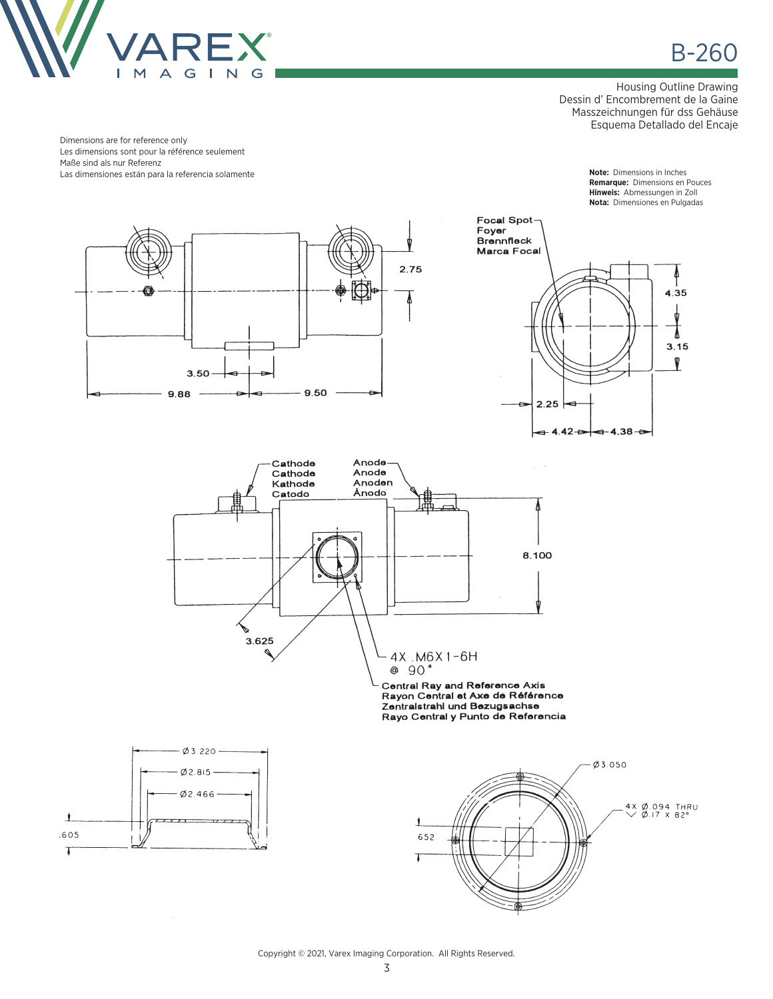

B-260

Housing Outline Drawing Dessin d' Encombrement de la Gaine Masszeichnungen für dss Gehäuse Esquema Detallado del Encaje

Dimensions are for reference only Les dimensions sont pour la référence seulement Maße sind als nur Referenz Las dimensiones están para la referencia solamente **Note:** Dimensions in Inches

**Remarque:** Dimensions en Pouces **Hinweis:** Abmessungen in Zoll **Nota:** Dimensiones en Pulgadas



Copyright © 2021, Varex Imaging Corporation. All Rights Reserved.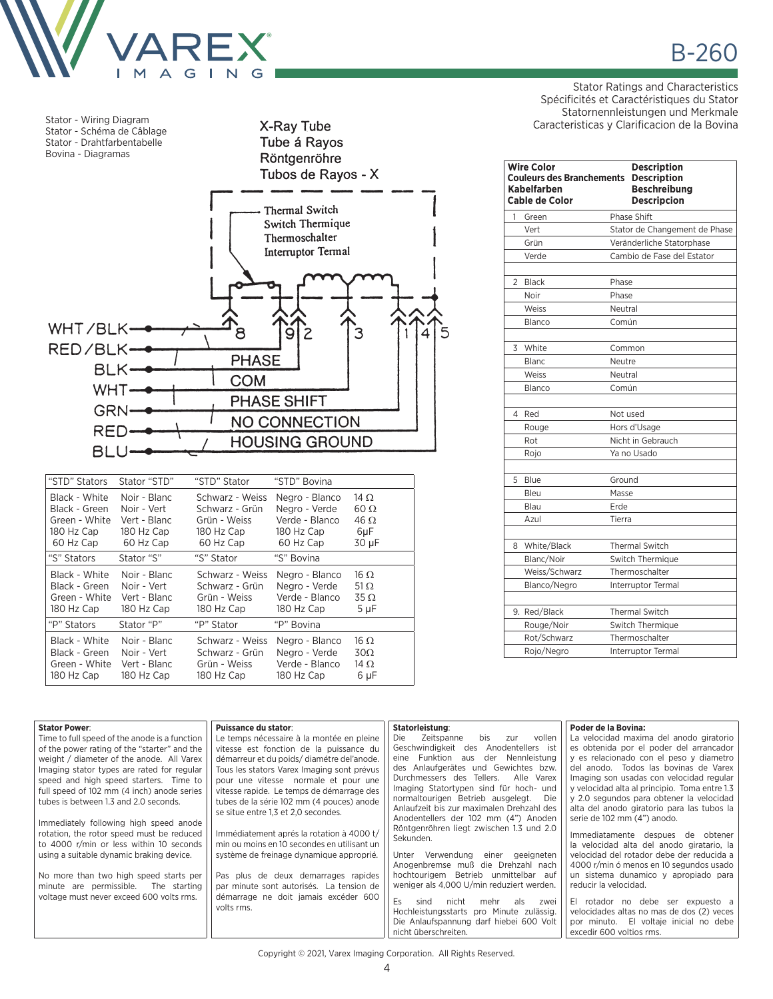

Stator - Wiring Diagram Stator - Schéma de Câblage Stator - Drahtfarbentabelle Bovina - Diagramas





| "STD" Stators | Stator "STD" | "STD" Stator    | "STD" Bovina   |             |
|---------------|--------------|-----------------|----------------|-------------|
| Black - White | Noir - Blanc | Schwarz - Weiss | Negro - Blanco | 14 $\Omega$ |
| Black - Green | Noir - Vert  | Schwarz - Grün  | Negro - Verde  | $60 \Omega$ |
| Green - White | Vert - Blanc | Grün - Weiss    | Verde - Blanco | $46 \Omega$ |
| 180 Hz Cap    | 180 Hz Cap   | 180 Hz Cap      | 180 Hz Cap     | 6µF         |
| 60 Hz Cap     | 60 Hz Cap    | 60 Hz Cap       | 60 Hz Cap      | 30 µF       |
| "S" Stators   | Stator "S"   | "S" Stator      | "S" Bovina     |             |
| Black - White | Noir - Blanc | Schwarz - Weiss | Negro - Blanco | $16 \Omega$ |
| Black - Green | Noir - Vert  | Schwarz - Grün  | Negro - Verde  | 51 $\Omega$ |
| Green - White | Vert - Blanc | Grün - Weiss    | Verde - Blanco | $35 \Omega$ |
| 180 Hz Cap    | 180 Hz Cap   | 180 Hz Cap      | 180 Hz Cap     | $5 \mu F$   |
| "P" Stators   | Stator "P"   | "P" Stator      | "P" Bovina     |             |
| Black - White | Noir - Blanc | Schwarz - Weiss | Negro - Blanco | $16 \Omega$ |
| Black - Green | Noir - Vert  | Schwarz - Grün  | Negro - Verde  | $30\Omega$  |
| Green - White | Vert - Blanc | Grün - Weiss    | Verde - Blanco | 14 $\Omega$ |
| 180 Hz Cap    | 180 Hz Cap   | 180 Hz Cap      | 180 Hz Cap     | 6 µF        |

Stator Ratings and Characteristics Spécificités et Caractéristiques du Stator Statornennleistungen und Merkmale Caracteristicas y Clarificacion de la Bovina

B-260

|                | <b>Wire Color</b><br><b>Couleurs des Branchements</b><br><b>Kabelfarben</b><br><b>Cable de Color</b> | <b>Description</b><br><b>Description</b><br><b>Beschreibung</b><br><b>Descripcion</b> |  |
|----------------|------------------------------------------------------------------------------------------------------|---------------------------------------------------------------------------------------|--|
| 1              | Green                                                                                                | Phase Shift                                                                           |  |
|                | Vert                                                                                                 | Stator de Changement de Phase                                                         |  |
|                | Grün                                                                                                 | Veränderliche Statorphase                                                             |  |
|                | Verde                                                                                                | Cambio de Fase del Estator                                                            |  |
| $\overline{2}$ | <b>Black</b>                                                                                         | Phase                                                                                 |  |
|                | Noir                                                                                                 | Phase                                                                                 |  |
|                | Weiss                                                                                                | Neutral                                                                               |  |
|                | Blanco                                                                                               | Común                                                                                 |  |
| 3              | White                                                                                                | Common                                                                                |  |
|                | Blanc                                                                                                | Neutre                                                                                |  |
|                | Weiss                                                                                                | Neutral                                                                               |  |
|                | Blanco                                                                                               | Común                                                                                 |  |
| 4              | Red                                                                                                  | Not used                                                                              |  |
|                | Rouge                                                                                                | Hors d'Usage                                                                          |  |
|                | Rot                                                                                                  | Nicht in Gebrauch                                                                     |  |
|                | Rojo                                                                                                 | Ya no Usado                                                                           |  |
| 5              | Blue                                                                                                 | Ground                                                                                |  |
|                | Bleu                                                                                                 | Masse                                                                                 |  |
|                | Blau                                                                                                 | Erde                                                                                  |  |
|                | Azul                                                                                                 | Tierra                                                                                |  |
| 8              | White/Black                                                                                          | <b>Thermal Switch</b>                                                                 |  |
|                | Blanc/Noir                                                                                           | Switch Thermique                                                                      |  |
|                | Weiss/Schwarz                                                                                        | Thermoschalter                                                                        |  |
|                | Blanco/Negro                                                                                         | Interruptor Termal                                                                    |  |
|                | 9. Red/Black                                                                                         | <b>Thermal Switch</b>                                                                 |  |
|                | Rouge/Noir                                                                                           | Switch Thermique                                                                      |  |
|                | Rot/Schwarz                                                                                          | Thermoschalter                                                                        |  |
|                | Rojo/Negro                                                                                           | <b>Interruptor Termal</b>                                                             |  |

| <b>Stator Power:</b>                          | Puissance du stator:                        | Statorleistung:                                                                       | Poder de la Bovina:                                                                    |
|-----------------------------------------------|---------------------------------------------|---------------------------------------------------------------------------------------|----------------------------------------------------------------------------------------|
| Time to full speed of the anode is a function | Le temps nécessaire à la montée en pleine   | vollen<br>Zeitspanne<br>bis<br>zur<br>Die i                                           | La velocidad maxima del anodo giratorio                                                |
| of the power rating of the "starter" and the  | vitesse est fonction de la puissance du     | Geschwindigkeit des<br>Anodentellers ist                                              | es obtenida por el poder del arrancador                                                |
| weight / diameter of the anode. All Varex     | démarreur et du poids/diamétre del'anode.   | eine Funktion<br>Nennleistung<br>der<br>aus                                           | y es relacionado con el peso y diametro                                                |
| Imaging stator types are rated for regular    | Tous les stators Varex Imaging sont prévus  | des Anlaufgerätes und Gewichtes bzw.                                                  | del anodo. Todos las bovinas de Varex                                                  |
| speed and high speed starters. Time to        | pour une vitesse normale et pour une        | Durchmessers des Tellers.<br>Alle Varex                                               | Imaging son usadas con velocidad regular                                               |
| full speed of 102 mm (4 inch) anode series    | vitesse rapide. Le temps de démarrage des   | Imaging Statortypen sind für hoch- und                                                | y velocidad alta al principio. Toma entre 1.3                                          |
| tubes is between 1.3 and 2.0 seconds.         | tubes de la série 102 mm (4 pouces) anode   | normaltourigen Betrieb ausgelegt.<br>Die<br>Anlaufzeit bis zur maximalen Drehzahl des | y 2.0 segundos para obtener la velocidad<br>alta del anodo giratorio para las tubos la |
|                                               | se situe entre 1,3 et 2,0 secondes.         | Anodentellers der 102 mm (4") Anoden                                                  | serie de 102 mm (4") anodo.                                                            |
| Immediately following high speed anode        |                                             | Röntgenröhren liegt zwischen 1.3 und 2.0                                              |                                                                                        |
| rotation, the rotor speed must be reduced     | Immédiatement aprés la rotation à 4000 t/   | Sekunden.                                                                             | Immediatamente despues de obtener                                                      |
| to 4000 r/min or less within 10 seconds       | min ou moins en 10 secondes en utilisant un |                                                                                       | la velocidad alta del anodo giratario. la                                              |
| using a suitable dynamic braking device.      | système de freinage dynamique approprié.    | Unter Verwendung einer geeigneten                                                     | velocidad del rotador debe der reducida a                                              |
|                                               |                                             | Anogenbremse muß die Drehzahl nach                                                    | 4000 r/min ó menos en 10 segundos usado                                                |
| No more than two high speed starts per        | Pas plus de deux demarrages rapides         | hochtourigem Betrieb unmittelbar auf                                                  | un sistema dunamico y apropiado para                                                   |
| minute are permissible. The starting          | par minute sont autorisés. La tension de    | weniger als 4,000 U/min reduziert werden.                                             | reducir la velocidad.                                                                  |
| voltage must never exceed 600 volts rms.      | démarrage ne doit jamais excéder 600        | Es.<br>nicht<br>mehr<br>als<br>sind<br>zwei                                           | El rotador no debe ser expuesto a                                                      |
|                                               | volts rms.                                  | Hochleistungsstarts pro Minute zulässig.                                              | velocidades altas no mas de dos (2) veces                                              |
|                                               |                                             | Die Anlaufspannung darf hiebei 600 Volt                                               | por minuto. El voltaje inicial no debe                                                 |
|                                               |                                             | nicht überschreiten.                                                                  | excedir 600 voltios rms.                                                               |

Copyright © 2021, Varex Imaging Corporation. All Rights Reserved.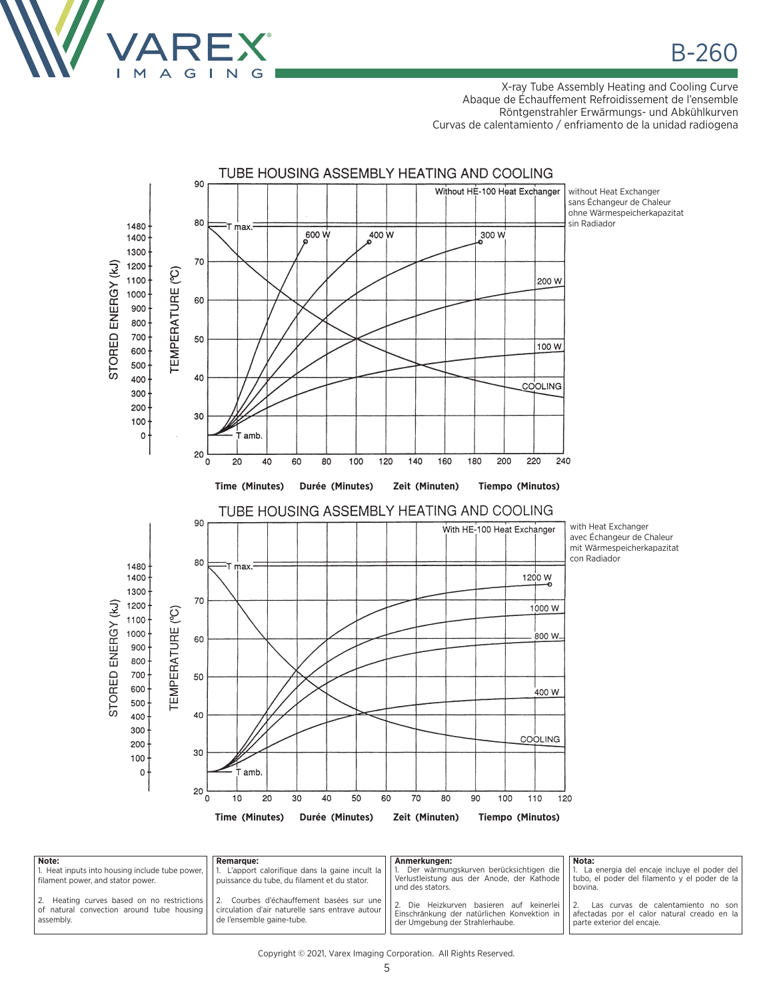

X-ray Tube Assembly Heating and Cooling Curve Abaque de Échauffement Refroidissement de l'ensemble Röntgenstrahler Erwärmungs- und Abkühlkurven Curvas de calentamiento / enfriamento de la unidad radiogena



| Note:                                                                                  | Remarque:                                                                                                                                                                   | Anmerkungen:                                                                                                            | Nota:                                                                                                           |
|----------------------------------------------------------------------------------------|-----------------------------------------------------------------------------------------------------------------------------------------------------------------------------|-------------------------------------------------------------------------------------------------------------------------|-----------------------------------------------------------------------------------------------------------------|
| 1. Heat inputs into housing include tube power, I<br>filament power, and stator power. | L'apport calorifique dans la gaine incult la  <br>puissance du tube, du filament et du stator.                                                                              | Der wärmungskurven berücksichtigen die<br>Verlustleistung aus der Anode, der Kathode<br>und des stators.                | La energia del encaje incluye el poder del<br>tubo, el poder del filamento y el poder de la<br>bovina.          |
| 2. Heating curves based on no restrictions<br>assembly.                                | Courbes d'échauffement basées sur une<br>l 2.<br>of natural convection around tube housing   circulation d'air naturelle sans entrave autour  <br>de l'ensemble gaine-tube. | Die Heizkurven basieren auf keinerlei<br>Einschränkung der natürlichen Konvektion in<br>der Umgebung der Strahlerhaube. | Las curvas de calentamiento no son<br>afectadas por el calor natural creado en la<br>parte exterior del encaje. |

Copyright © 2021, Varex Imaging Corporation. All Rights Reserved.